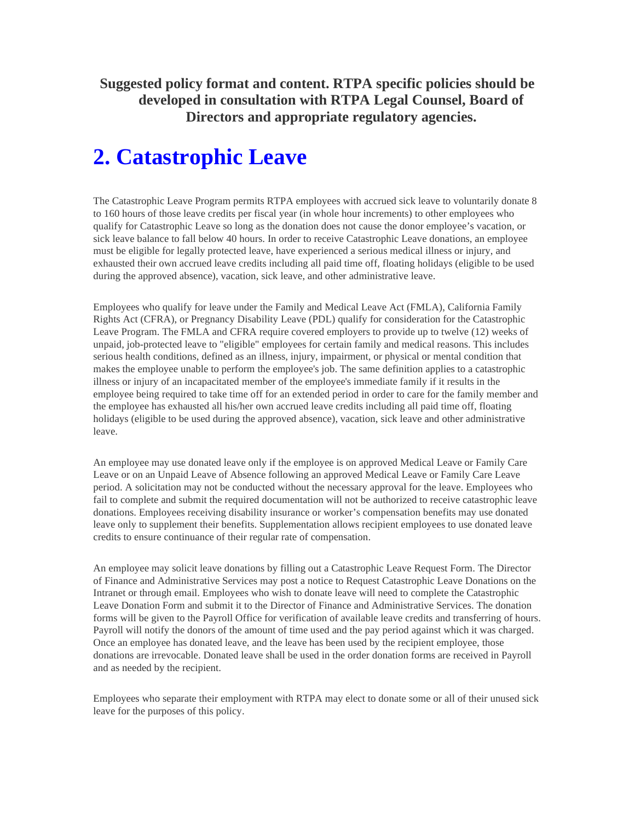**Suggested policy format and content. RTPA specific policies should be developed in consultation with RTPA Legal Counsel, Board of Directors and appropriate regulatory agencies.** 

## **2. Catastrophic Leave**

The Catastrophic Leave Program permits RTPA employees with accrued sick leave to voluntarily donate 8 to 160 hours of those leave credits per fiscal year (in whole hour increments) to other employees who qualify for Catastrophic Leave so long as the donation does not cause the donor employee's vacation, or sick leave balance to fall below 40 hours. In order to receive Catastrophic Leave donations, an employee must be eligible for legally protected leave, have experienced a serious medical illness or injury, and exhausted their own accrued leave credits including all paid time off, floating holidays (eligible to be used during the approved absence), vacation, sick leave, and other administrative leave.

Employees who qualify for leave under the Family and Medical Leave Act (FMLA), California Family Rights Act (CFRA), or Pregnancy Disability Leave (PDL) qualify for consideration for the Catastrophic Leave Program. The FMLA and CFRA require covered employers to provide up to twelve (12) weeks of unpaid, job-protected leave to "eligible" employees for certain family and medical reasons. This includes serious health conditions, defined as an illness, injury, impairment, or physical or mental condition that makes the employee unable to perform the employee's job. The same definition applies to a catastrophic illness or injury of an incapacitated member of the employee's immediate family if it results in the employee being required to take time off for an extended period in order to care for the family member and the employee has exhausted all his/her own accrued leave credits including all paid time off, floating holidays (eligible to be used during the approved absence), vacation, sick leave and other administrative leave.

An employee may use donated leave only if the employee is on approved Medical Leave or Family Care Leave or on an Unpaid Leave of Absence following an approved Medical Leave or Family Care Leave period. A solicitation may not be conducted without the necessary approval for the leave. Employees who fail to complete and submit the required documentation will not be authorized to receive catastrophic leave donations. Employees receiving disability insurance or worker's compensation benefits may use donated leave only to supplement their benefits. Supplementation allows recipient employees to use donated leave credits to ensure continuance of their regular rate of compensation.

An employee may solicit leave donations by filling out a Catastrophic Leave Request Form. The Director of Finance and Administrative Services may post a notice to Request Catastrophic Leave Donations on the Intranet or through email. Employees who wish to donate leave will need to complete the Catastrophic Leave Donation Form and submit it to the Director of Finance and Administrative Services. The donation forms will be given to the Payroll Office for verification of available leave credits and transferring of hours. Payroll will notify the donors of the amount of time used and the pay period against which it was charged. Once an employee has donated leave, and the leave has been used by the recipient employee, those donations are irrevocable. Donated leave shall be used in the order donation forms are received in Payroll and as needed by the recipient.

Employees who separate their employment with RTPA may elect to donate some or all of their unused sick leave for the purposes of this policy.